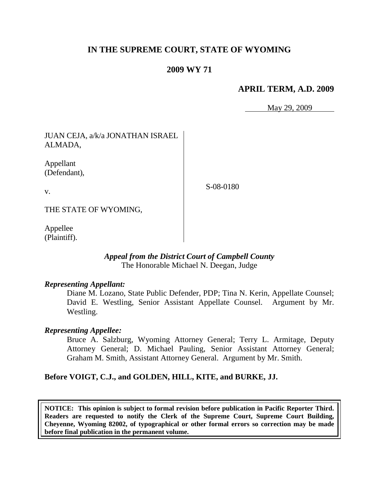# **IN THE SUPREME COURT, STATE OF WYOMING**

## **2009 WY 71**

### **APRIL TERM, A.D. 2009**

May 29, 2009

JUAN CEJA, a/k/a JONATHAN ISRAEL ALMADA,

Appellant (Defendant),

v.

S-08-0180

THE STATE OF WYOMING,

Appellee (Plaintiff).

#### *Appeal from the District Court of Campbell County* The Honorable Michael N. Deegan, Judge

#### *Representing Appellant:*

Diane M. Lozano, State Public Defender, PDP; Tina N. Kerin, Appellate Counsel; David E. Westling, Senior Assistant Appellate Counsel. Argument by Mr. Westling.

### *Representing Appellee:*

Bruce A. Salzburg, Wyoming Attorney General; Terry L. Armitage, Deputy Attorney General; D. Michael Pauling, Senior Assistant Attorney General; Graham M. Smith, Assistant Attorney General. Argument by Mr. Smith.

### **Before VOIGT, C.J., and GOLDEN, HILL, KITE, and BURKE, JJ.**

**NOTICE: This opinion is subject to formal revision before publication in Pacific Reporter Third. Readers are requested to notify the Clerk of the Supreme Court, Supreme Court Building, Cheyenne, Wyoming 82002, of typographical or other formal errors so correction may be made before final publication in the permanent volume.**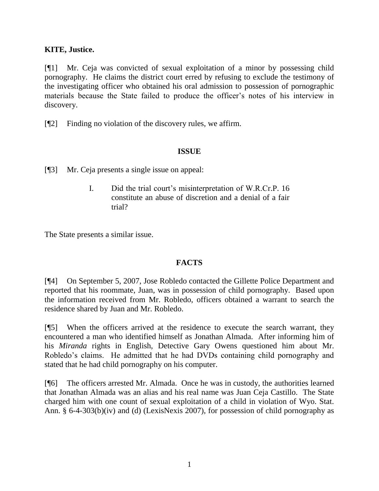### **KITE, Justice.**

[¶1] Mr. Ceja was convicted of sexual exploitation of a minor by possessing child pornography. He claims the district court erred by refusing to exclude the testimony of the investigating officer who obtained his oral admission to possession of pornographic materials because the State failed to produce the officer"s notes of his interview in discovery.

[¶2] Finding no violation of the discovery rules, we affirm.

### **ISSUE**

[¶3] Mr. Ceja presents a single issue on appeal:

I. Did the trial court"s misinterpretation of W.R.Cr.P. 16 constitute an abuse of discretion and a denial of a fair trial?

The State presents a similar issue.

## **FACTS**

[¶4] On September 5, 2007, Jose Robledo contacted the Gillette Police Department and reported that his roommate, Juan, was in possession of child pornography. Based upon the information received from Mr. Robledo, officers obtained a warrant to search the residence shared by Juan and Mr. Robledo.

[¶5] When the officers arrived at the residence to execute the search warrant, they encountered a man who identified himself as Jonathan Almada. After informing him of his *Miranda* rights in English, Detective Gary Owens questioned him about Mr. Robledo"s claims. He admitted that he had DVDs containing child pornography and stated that he had child pornography on his computer.

[¶6] The officers arrested Mr. Almada. Once he was in custody, the authorities learned that Jonathan Almada was an alias and his real name was Juan Ceja Castillo. The State charged him with one count of sexual exploitation of a child in violation of Wyo. Stat. Ann. § 6-4-303(b)(iv) and (d) (LexisNexis 2007), for possession of child pornography as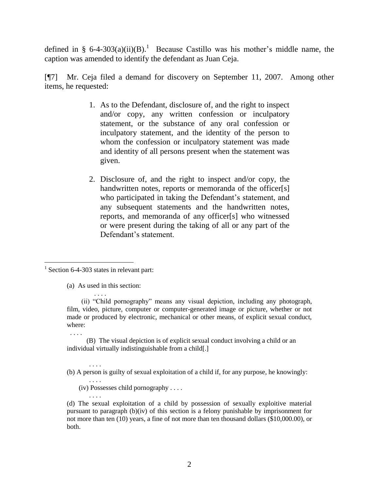defined in § 6-4-303(a)(ii)(B).<sup>1</sup> Because Castillo was his mother's middle name, the caption was amended to identify the defendant as Juan Ceja.

[¶7] Mr. Ceja filed a demand for discovery on September 11, 2007. Among other items, he requested:

- 1. As to the Defendant, disclosure of, and the right to inspect and/or copy, any written confession or inculpatory statement, or the substance of any oral confession or inculpatory statement, and the identity of the person to whom the confession or inculpatory statement was made and identity of all persons present when the statement was given.
- 2. Disclosure of, and the right to inspect and/or copy, the handwritten notes, reports or memoranda of the officer[s] who participated in taking the Defendant's statement, and any subsequent statements and the handwritten notes, reports, and memoranda of any officer[s] who witnessed or were present during the taking of all or any part of the Defendant's statement.

. . . .

(a) As used in this section:

(iv) Possesses child pornography . . . .

<sup>&</sup>lt;sup>1</sup> Section 6-4-303 states in relevant part:

 <sup>. . . .</sup> (ii) "Child pornography" means any visual depiction, including any photograph, film, video, picture, computer or computer-generated image or picture, whether or not made or produced by electronic, mechanical or other means, of explicit sexual conduct, where:

<sup>. . . .</sup> (B) The visual depiction is of explicit sexual conduct involving a child or an individual virtually indistinguishable from a child[.]

<sup>. . . .</sup>  (b) A person is guilty of sexual exploitation of a child if, for any purpose, he knowingly:

<sup>. . . .</sup> (d) The sexual exploitation of a child by possession of sexually exploitive material pursuant to paragraph (b)(iv) of this section is a felony punishable by imprisonment for not more than ten (10) years, a fine of not more than ten thousand dollars (\$10,000.00), or both.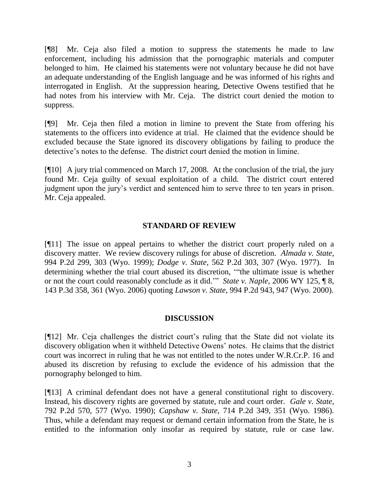[¶8] Mr. Ceja also filed a motion to suppress the statements he made to law enforcement, including his admission that the pornographic materials and computer belonged to him. He claimed his statements were not voluntary because he did not have an adequate understanding of the English language and he was informed of his rights and interrogated in English. At the suppression hearing, Detective Owens testified that he had notes from his interview with Mr. Ceja. The district court denied the motion to suppress.

[¶9] Mr. Ceja then filed a motion in limine to prevent the State from offering his statements to the officers into evidence at trial. He claimed that the evidence should be excluded because the State ignored its discovery obligations by failing to produce the detective's notes to the defense. The district court denied the motion in limine.

[¶10] A jury trial commenced on March 17, 2008. At the conclusion of the trial, the jury found Mr. Ceja guilty of sexual exploitation of a child. The district court entered judgment upon the jury"s verdict and sentenced him to serve three to ten years in prison. Mr. Ceja appealed.

### **STANDARD OF REVIEW**

[¶11] The issue on appeal pertains to whether the district court properly ruled on a discovery matter. We review discovery rulings for abuse of discretion. *Almada v. State,*  994 P.2d 299, 303 (Wyo. 1999); *Dodge v. State*, 562 P.2d 303, 307 (Wyo. 1977). In determining whether the trial court abused its discretion, ""the ultimate issue is whether or not the court could reasonably conclude as it did."" *State v. Naple,* 2006 WY 125, ¶ 8, 143 P.3d 358, 361 (Wyo. 2006) quoting *Lawson v. State*, 994 P.2d 943, 947 (Wyo. 2000).

## **DISCUSSION**

[¶12] Mr. Ceja challenges the district court's ruling that the State did not violate its discovery obligation when it withheld Detective Owens" notes. He claims that the district court was incorrect in ruling that he was not entitled to the notes under W.R.Cr.P. 16 and abused its discretion by refusing to exclude the evidence of his admission that the pornography belonged to him.

[¶13] A criminal defendant does not have a general constitutional right to discovery. Instead, his discovery rights are governed by statute, rule and court order. *Gale v. State,*  792 P.2d 570, 577 (Wyo. 1990); *Capshaw v. State,* 714 P.2d 349, 351 (Wyo. 1986). Thus, while a defendant may request or demand certain information from the State, he is entitled to the information only insofar as required by statute, rule or case law.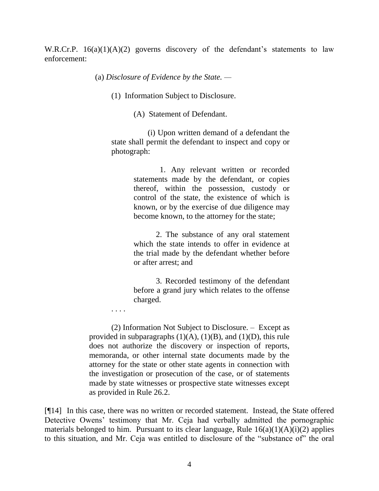W.R.Cr.P.  $16(a)(1)(A)(2)$  governs discovery of the defendant's statements to law enforcement:

(a) *Disclosure of Evidence by the State. —*

(1) Information Subject to Disclosure.

(A) Statement of Defendant.

 (i) Upon written demand of a defendant the state shall permit the defendant to inspect and copy or photograph:

> 1. Any relevant written or recorded statements made by the defendant, or copies thereof, within the possession, custody or control of the state, the existence of which is known, or by the exercise of due diligence may become known, to the attorney for the state;

> 2. The substance of any oral statement which the state intends to offer in evidence at the trial made by the defendant whether before or after arrest; and

> 3. Recorded testimony of the defendant before a grand jury which relates to the offense charged.

(2) Information Not Subject to Disclosure. – Except as provided in subparagraphs  $(1)(A)$ ,  $(1)(B)$ , and  $(1)(D)$ , this rule does not authorize the discovery or inspection of reports, memoranda, or other internal state documents made by the attorney for the state or other state agents in connection with the investigation or prosecution of the case, or of statements made by state witnesses or prospective state witnesses except as provided in Rule 26.2.

. . . .

[¶14] In this case, there was no written or recorded statement. Instead, the State offered Detective Owens' testimony that Mr. Ceja had verbally admitted the pornographic materials belonged to him. Pursuant to its clear language, Rule  $16(a)(1)(A)(i)(2)$  applies to this situation, and Mr. Ceja was entitled to disclosure of the "substance of" the oral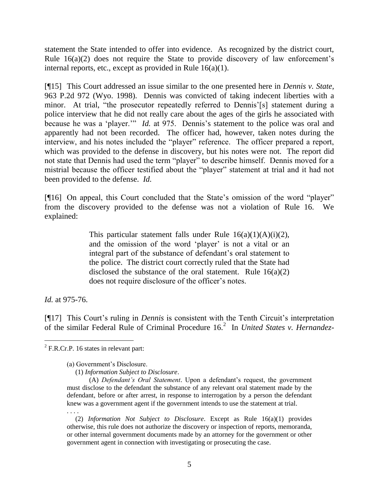statement the State intended to offer into evidence. As recognized by the district court, Rule  $16(a)(2)$  does not require the State to provide discovery of law enforcement's internal reports, etc., except as provided in Rule 16(a)(1).

[¶15] This Court addressed an issue similar to the one presented here in *Dennis v. State,*  963 P.2d 972 (Wyo. 1998). Dennis was convicted of taking indecent liberties with a minor. At trial, "the prosecutor repeatedly referred to Dennis'[s] statement during a police interview that he did not really care about the ages of the girls he associated with because he was a 'player."" *Id.* at 975. Dennis's statement to the police was oral and apparently had not been recorded. The officer had, however, taken notes during the interview, and his notes included the "player" reference. The officer prepared a report, which was provided to the defense in discovery, but his notes were not. The report did not state that Dennis had used the term "player" to describe himself. Dennis moved for a mistrial because the officer testified about the "player" statement at trial and it had not been provided to the defense. *Id.* 

[¶16] On appeal, this Court concluded that the State's omission of the word "player" from the discovery provided to the defense was not a violation of Rule 16. We explained:

> This particular statement falls under Rule  $16(a)(1)(A)(i)(2)$ , and the omission of the word 'player' is not a vital or an integral part of the substance of defendant's oral statement to the police. The district court correctly ruled that the State had disclosed the substance of the oral statement. Rule  $16(a)(2)$ does not require disclosure of the officer"s notes.

*Id.* at 975-76.

l

[¶17] This Court's ruling in *Dennis* is consistent with the Tenth Circuit's interpretation of the similar Federal Rule of Criminal Procedure 16.<sup>2</sup> In *United States v. Hernandez-*

 $2$  F.R.Cr.P. 16 states in relevant part:

<sup>(</sup>a) Government"s Disclosure.

 <sup>(1)</sup> *Information Subject to Disclosure*.

<sup>(</sup>A) *Defendant's Oral Statement*. Upon a defendant"s request, the government must disclose to the defendant the substance of any relevant oral statement made by the defendant, before or after arrest, in response to interrogation by a person the defendant knew was a government agent if the government intends to use the statement at trial. . . . .

 <sup>(2)</sup> *Information Not Subject to Disclosure*. Except as Rule 16(a)(1) provides otherwise, this rule does not authorize the discovery or inspection of reports, memoranda, or other internal government documents made by an attorney for the government or other government agent in connection with investigating or prosecuting the case.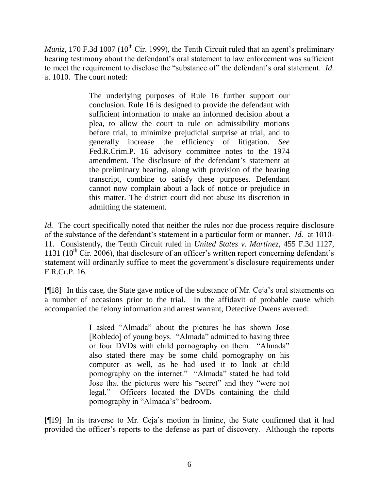*Muniz*, 170 F.3d 1007 (10<sup>th</sup> Cir. 1999), the Tenth Circuit ruled that an agent's preliminary hearing testimony about the defendant's oral statement to law enforcement was sufficient to meet the requirement to disclose the "substance of" the defendant's oral statement. *Id.* at 1010. The court noted:

> The underlying purposes of Rule 16 further support our conclusion. Rule 16 is designed to provide the defendant with sufficient information to make an informed decision about a plea, to allow the court to rule on admissibility motions before trial, to minimize prejudicial surprise at trial, and to generally increase the efficiency of litigation. *See* Fed.R.Crim.P. 16 advisory committee notes to the 1974 amendment. The disclosure of the defendant's statement at the preliminary hearing, along with provision of the hearing transcript, combine to satisfy these purposes. Defendant cannot now complain about a lack of notice or prejudice in this matter. The district court did not abuse its discretion in admitting the statement.

*Id.* The court specifically noted that neither the rules nor due process require disclosure of the substance of the defendant"s statement in a particular form or manner. *Id.* at 1010- 11. Consistently, the Tenth Circuit ruled in *United States v. Martinez,* 455 F.3d 1127, 1131 ( $10^{th}$  Cir. 2006), that disclosure of an officer's written report concerning defendant's statement will ordinarily suffice to meet the government's disclosure requirements under F.R.Cr.P. 16.

[¶18] In this case, the State gave notice of the substance of Mr. Ceja"s oral statements on a number of occasions prior to the trial. In the affidavit of probable cause which accompanied the felony information and arrest warrant, Detective Owens averred:

> I asked "Almada" about the pictures he has shown Jose [Robledo] of young boys. "Almada" admitted to having three or four DVDs with child pornography on them. "Almada" also stated there may be some child pornography on his computer as well, as he had used it to look at child pornography on the internet." "Almada" stated he had told Jose that the pictures were his "secret" and they "were not legal." Officers located the DVDs containing the child pornography in "Almada"s" bedroom.

[¶19] In its traverse to Mr. Ceja"s motion in limine, the State confirmed that it had provided the officer"s reports to the defense as part of discovery. Although the reports